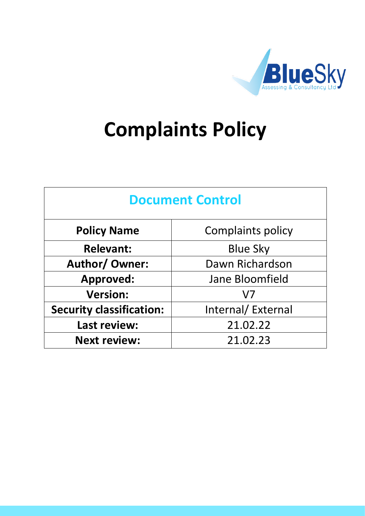

# **Complaints Policy**

| <b>Document Control</b> |  |
|-------------------------|--|
|                         |  |

| <b>Complaints policy</b> |
|--------------------------|
| <b>Blue Sky</b>          |
| Dawn Richardson          |
| Jane Bloomfield          |
| V7                       |
| Internal/External        |
| 21.02.22                 |
| 21.02.23                 |
|                          |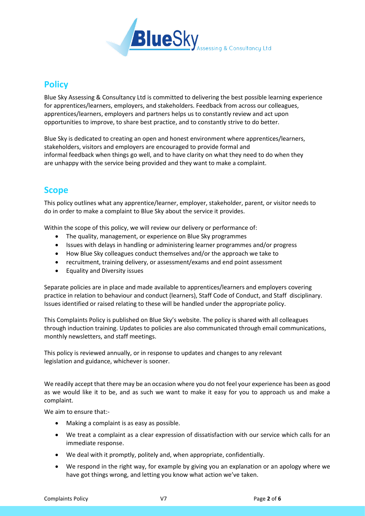

## **Policy**

Blue Sky Assessing & Consultancy Ltd is committed to delivering the best possible learning experience for apprentices/learners, employers, and stakeholders. Feedback from across our colleagues, apprentices/learners, employers and partners helps us to constantly review and act upon opportunities to improve, to share best practice, and to constantly strive to do better.

Blue Sky is dedicated to creating an open and honest environment where apprentices/learners, stakeholders, visitors and employers are encouraged to provide formal and informal feedback when things go well, and to have clarity on what they need to do when they are unhappy with the service being provided and they want to make a complaint.

## **Scope**

This policy outlines what any apprentice/learner, employer, stakeholder, parent, or visitor needs to do in order to make a complaint to Blue Sky about the service it provides.

Within the scope of this policy, we will review our delivery or performance of:

- The quality, management, or experience on Blue Sky programmes
- Issues with delays in handling or administering learner programmes and/or progress
- How Blue Sky colleagues conduct themselves and/or the approach we take to
- recruitment, training delivery, or assessment/exams and end point assessment
- Equality and Diversity issues

Separate policies are in place and made available to apprentices/learners and employers covering practice in relation to behaviour and conduct (learners), Staff Code of Conduct, and Staff disciplinary. Issues identified or raised relating to these will be handled under the appropriate policy.

This Complaints Policy is published on Blue Sky's website. The policy is shared with all colleagues through induction training. Updates to policies are also communicated through email communications, monthly newsletters, and staff meetings.

This policy is reviewed annually, or in response to updates and changes to any relevant legislation and guidance, whichever is sooner.

We readily accept that there may be an occasion where you do not feel your experience has been as good as we would like it to be, and as such we want to make it easy for you to approach us and make a complaint.

We aim to ensure that:-

- Making a complaint is as easy as possible.
- We treat a complaint as a clear expression of dissatisfaction with our service which calls for an immediate response.
- We deal with it promptly, politely and, when appropriate, confidentially.
- We respond in the right way, for example by giving you an explanation or an apology where we have got things wrong, and letting you know what action we've taken.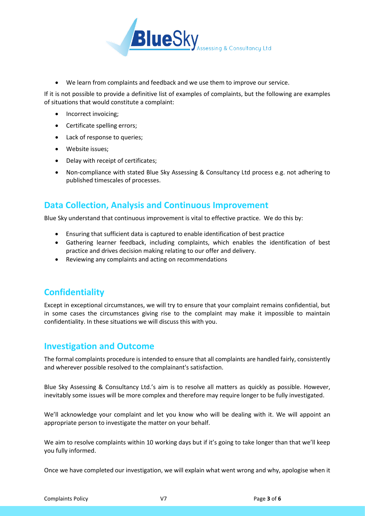

• We learn from complaints and feedback and we use them to improve our service.

If it is not possible to provide a definitive list of examples of complaints, but the following are examples of situations that would constitute a complaint:

- Incorrect invoicing;
- Certificate spelling errors;
- Lack of response to queries;
- Website issues;
- Delay with receipt of certificates;
- Non-compliance with stated Blue Sky Assessing & Consultancy Ltd process e.g. not adhering to published timescales of processes.

## **Data Collection, Analysis and Continuous Improvement**

Blue Sky understand that continuous improvement is vital to effective practice. We do this by:

- Ensuring that sufficient data is captured to enable identification of best practice
- Gathering learner feedback, including complaints, which enables the identification of best practice and drives decision making relating to our offer and delivery.
- Reviewing any complaints and acting on recommendations

## **Confidentiality**

Except in exceptional circumstances, we will try to ensure that your complaint remains confidential, but in some cases the circumstances giving rise to the complaint may make it impossible to maintain confidentiality. In these situations we will discuss this with you.

### **Investigation and Outcome**

The formal complaints procedure is intended to ensure that all complaints are handled fairly, consistently and wherever possible resolved to the complainant's satisfaction.

Blue Sky Assessing & Consultancy Ltd.'s aim is to resolve all matters as quickly as possible. However, inevitably some issues will be more complex and therefore may require longer to be fully investigated.

We'll acknowledge your complaint and let you know who will be dealing with it. We will appoint an appropriate person to investigate the matter on your behalf.

We aim to resolve complaints within 10 working days but if it's going to take longer than that we'll keep you fully informed.

Once we have completed our investigation, we will explain what went wrong and why, apologise when it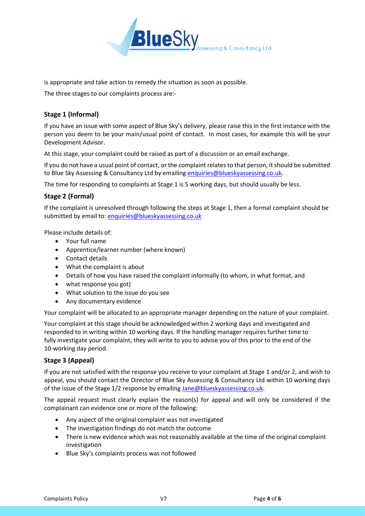

is appropriate and take action to remedy the situation as soon as possible.

The three stages to our complaints process are:-

#### **Stage 1 (Informal)**

If you have an issue with some aspect of Blue Sky's delivery, please raise this in the first instance with the person you deem to be your main/usual point of contact. In most cases, for example this will be your Development Advisor.

At this stage, your complaint could be raised as part of a discussion or an email exchange.

If you do not have a usual point of contact, or the complaint relates to that person, it should be submitted to Blue Sky Assessing & Consultancy Ltd by emailing [enquiries@blueskyassessing.co.uk.](mailto:enquiries@blueskyassessing.co.uk)

The time for responding to complaints at Stage 1 is 5 working days, but should usually be less.

#### **Stage 2 (Formal)**

If the complaint is unresolved through following the steps at Stage 1, then a formal complaint should be submitted by email to: [enquiries@blueskyassessing.co.uk](mailto:enquiries@blueskyassessing.co.uk)

Please include details of:

- Your full name
- Apprentice/learner number (where known)
- Contact details
- What the complaint is about
- Details of how you have raised the complaint informally (to whom, in what format, and
- what response you got)
- What solution to the issue do you see
- Any documentary evidence

Your complaint will be allocated to an appropriate manager depending on the nature of your complaint.

Your complaint at this stage should be acknowledged within 2 working days and investigated and responded to in writing within 10 working days. If the handling manager requires further time to fully investigate your complaint, they will write to you to advise you of this prior to the end of the 10-working day period.

#### **Stage 3 (Appeal)**

If you are not satisfied with the response you receive to your complaint at Stage 1 and/or 2, and wish to appeal, you should contact the Director of Blue Sky Assessing & Consultancy Ltd within 10 working days of the issue of the Stage 1/2 response by emailing [Jane@blueskyassessing.co.uk.](mailto:Jane@blueskyassessing.co.uk)

The appeal request must clearly explain the reason(s) for appeal and will only be considered if the complainant can evidence one or more of the following:

- Any aspect of the original complaint was not investigated
- The investigation findings do not match the outcome
- There is new evidence which was not reasonably available at the time of the original complaint investigation
- Blue Sky's complaints process was not followed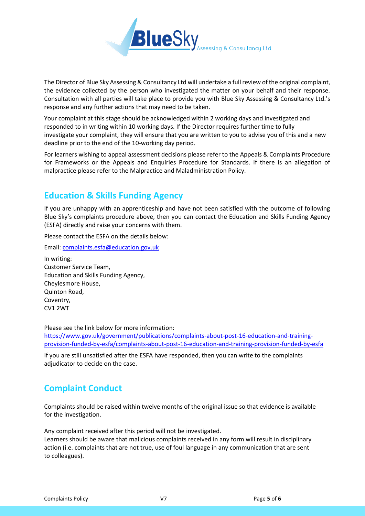

The Director of Blue Sky Assessing & Consultancy Ltd will undertake a full review of the original complaint, the evidence collected by the person who investigated the matter on your behalf and their response. Consultation with all parties will take place to provide you with Blue Sky Assessing & Consultancy Ltd.'s response and any further actions that may need to be taken.

Your complaint at this stage should be acknowledged within 2 working days and investigated and responded to in writing within 10 working days. If the Director requires further time to fully investigate your complaint, they will ensure that you are written to you to advise you of this and a new deadline prior to the end of the 10-working day period.

For learners wishing to appeal assessment decisions please refer to the Appeals & Complaints Procedure for Frameworks or the Appeals and Enquiries Procedure for Standards. If there is an allegation of malpractice please refer to the Malpractice and Maladministration Policy.

## **Education & Skills Funding Agency**

If you are unhappy with an apprenticeship and have not been satisfied with the outcome of following Blue Sky's complaints procedure above, then you can contact the Education and Skills Funding Agency (ESFA) directly and raise your concerns with them.

Please contact the ESFA on the details below:

Email: [complaints.esfa@education.gov.uk](mailto:complaints.esfa@education.gov.uk)

In writing: Customer Service Team, Education and Skills Funding Agency, Cheylesmore House, Quinton Road, Coventry, CV1 2WT

Please see the link below for more information:

[https://www.gov.uk/government/publications/complaints-about-post-16-education-and-training](https://www.gov.uk/government/publications/complaints-about-post-16-education-and-training-provision-funded-by-esfa/complaints-about-post-16-education-and-training-provision-funded-by-esfa)[provision-funded-by-esfa/complaints-about-post-16-education-and-training-provision-funded-by-esfa](https://www.gov.uk/government/publications/complaints-about-post-16-education-and-training-provision-funded-by-esfa/complaints-about-post-16-education-and-training-provision-funded-by-esfa)

If you are still unsatisfied after the ESFA have responded, then you can write to the complaints adjudicator to decide on the case.

# **Complaint Conduct**

Complaints should be raised within twelve months of the original issue so that evidence is available for the investigation.

Any complaint received after this period will not be investigated.

Learners should be aware that malicious complaints received in any form will result in disciplinary action (i.e. complaints that are not true, use of foul language in any communication that are sent to colleagues).